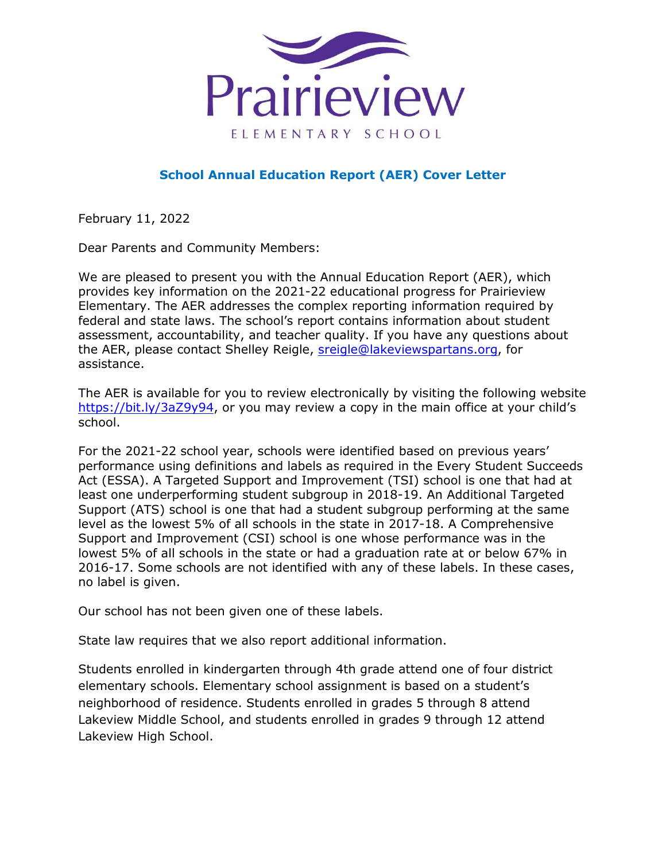

## **School Annual Education Report (AER) Cover Letter**

February 11, 2022

Dear Parents and Community Members:

We are pleased to present you with the Annual Education Report (AER), which provides key information on the 2021-22 educational progress for Prairieview Elementary. The AER addresses the complex reporting information required by federal and state laws. The school's report contains information about student assessment, accountability, and teacher quality. If you have any questions about the AER, please contact Shelley Reigle, [sreigle@lakeviewspartans.org,](mailto:sreigle@lakeviewspartans.org) for assistance.

The AER is available for you to review electronically by visiting the following website [https://bit.ly/3aZ9y94,](https://bit.ly/3aZ9y94) or you may review a copy in the main office at your child's school.

For the 2021-22 school year, schools were identified based on previous years' performance using definitions and labels as required in the Every Student Succeeds Act (ESSA). A Targeted Support and Improvement (TSI) school is one that had at least one underperforming student subgroup in 2018-19. An Additional Targeted Support (ATS) school is one that had a student subgroup performing at the same level as the lowest 5% of all schools in the state in 2017-18. A Comprehensive Support and Improvement (CSI) school is one whose performance was in the lowest 5% of all schools in the state or had a graduation rate at or below 67% in 2016-17. Some schools are not identified with any of these labels. In these cases, no label is given.

Our school has not been given one of these labels.

State law requires that we also report additional information.

Students enrolled in kindergarten through 4th grade attend one of four district elementary schools. Elementary school assignment is based on a student's neighborhood of residence. Students enrolled in grades 5 through 8 attend Lakeview Middle School, and students enrolled in grades 9 through 12 attend Lakeview High School.